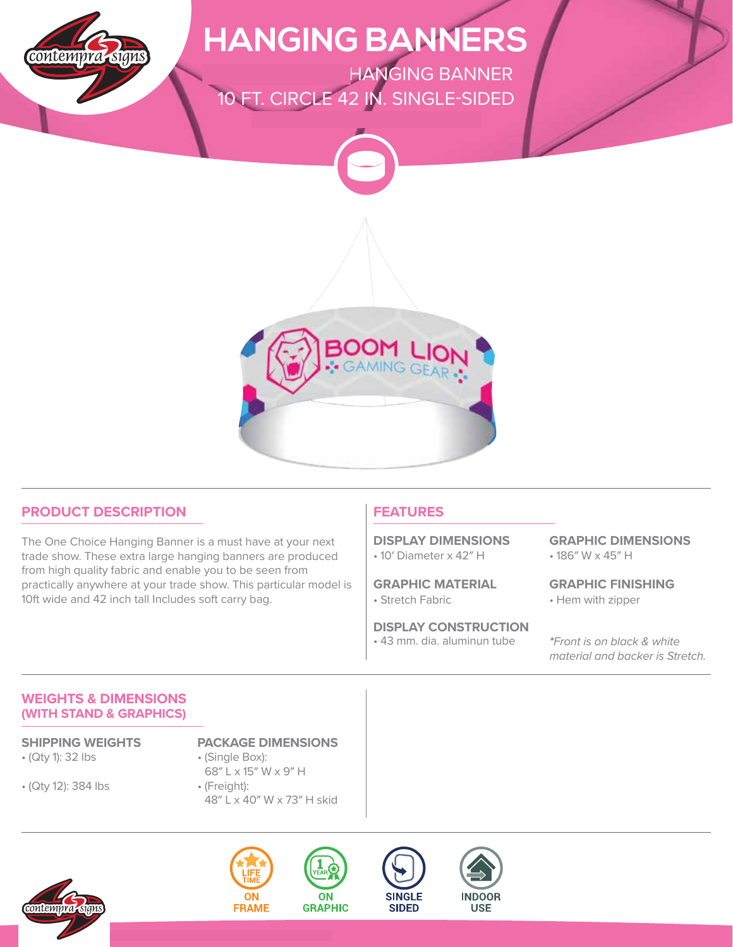

## **HANGING BANNERS**

**ONE CHOICE - HANGING BANNER** 10 FT. CIRCLE 42 IN. SINGLE-SIDED



### **PRODUCT DESCRIPTION**

The One Choice Hanging Banner is a must have at your next trade show. These extra large hanging banners are produced from high quality fabric and enable you to be seen from practically anywhere at your trade show. This particular model is 10ft wide and 42 inch tall Includes soft carry bag.

### **FEATURES**

• 10′ Diameter x 42″ H **DISPLAY DIMENSIONS**

• Stretch Fabric **GRAPHIC MATERIAL**

• 43 mm. dia. aluminun tube **DISPLAY CONSTRUCTION** • 186″ W x 45″ H **GRAPHIC DIMENSIONS**

• Hem with zipper **GRAPHIC FINISHING**

**\***Front is on black & white material and backer is Stretch.

### **WEIGHTS & DIMENSIONS (WITH STAND & GRAPHICS)**

• (Qty 1): 32 lbs

• (Qty 12): 384 lbs

#### **SHIPPING WEIGHTS PACKAGE DIMENSIONS**

- (Single Box): 68″ L x 15″ W x 9″ H • (Freight):
- 48″ L x 40″ W x 73″ H skid





**ON** 



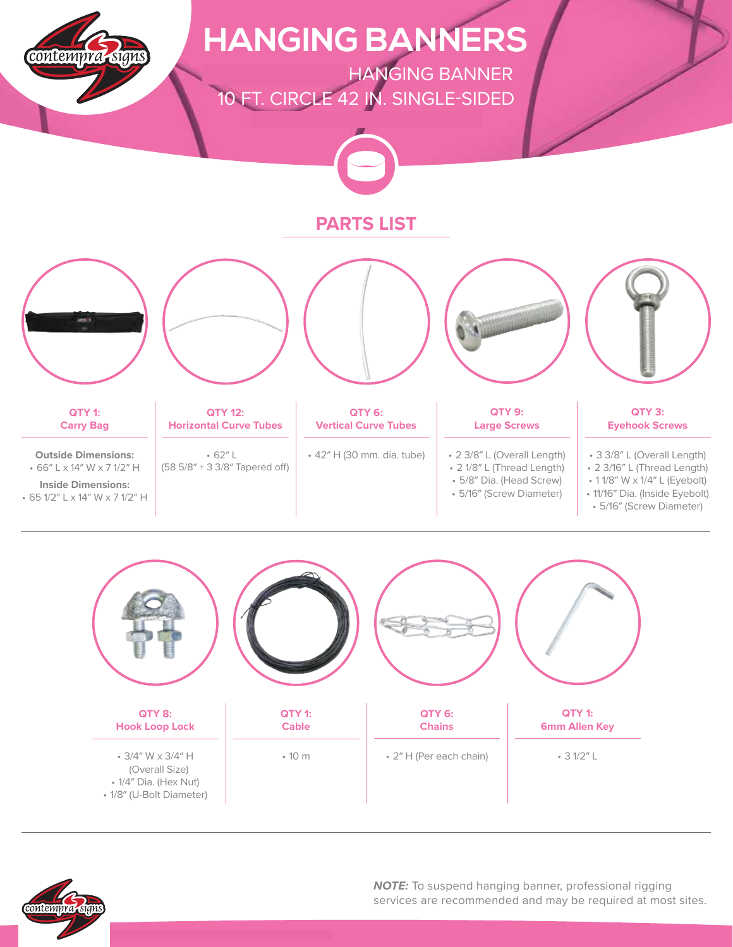





**NOTE:** To suspend hanging banner, professional rigging services are recommended and may be required at most sites.